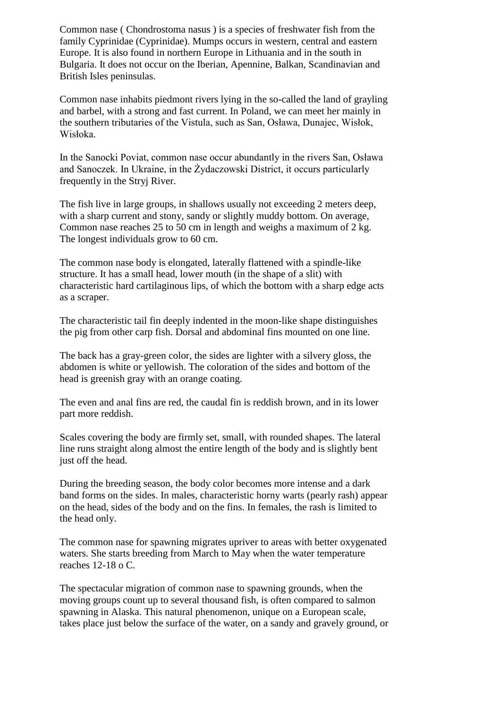Common nase ( Chondrostoma nasus ) is a species of freshwater fish from the family Cyprinidae (Cyprinidae). Mumps occurs in western, central and eastern Europe. It is also found in northern Europe in Lithuania and in the south in Bulgaria. It does not occur on the Iberian, Apennine, Balkan, Scandinavian and British Isles peninsulas.

Common nase inhabits piedmont rivers lying in the so-called the land of grayling and barbel, with a strong and fast current. In Poland, we can meet her mainly in the southern tributaries of the Vistula, such as San, Osława, Dunajec, Wisłok, Wisłoka.

In the Sanocki Poviat, common nase occur abundantly in the rivers San, Osława and Sanoczek. In Ukraine, in the Żydaczowski District, it occurs particularly frequently in the Stryj River.

The fish live in large groups, in shallows usually not exceeding 2 meters deep, with a sharp current and stony, sandy or slightly muddy bottom. On average, Common nase reaches 25 to 50 cm in length and weighs a maximum of 2 kg. The longest individuals grow to 60 cm.

The common nase body is elongated, laterally flattened with a spindle-like structure. It has a small head, lower mouth (in the shape of a slit) with characteristic hard cartilaginous lips, of which the bottom with a sharp edge acts as a scraper.

The characteristic tail fin deeply indented in the moon-like shape distinguishes the pig from other carp fish. Dorsal and abdominal fins mounted on one line.

The back has a gray-green color, the sides are lighter with a silvery gloss, the abdomen is white or yellowish. The coloration of the sides and bottom of the head is greenish gray with an orange coating.

The even and anal fins are red, the caudal fin is reddish brown, and in its lower part more reddish.

Scales covering the body are firmly set, small, with rounded shapes. The lateral line runs straight along almost the entire length of the body and is slightly bent just off the head.

During the breeding season, the body color becomes more intense and a dark band forms on the sides. In males, characteristic horny warts (pearly rash) appear on the head, sides of the body and on the fins. In females, the rash is limited to the head only.

The common nase for spawning migrates upriver to areas with better oxygenated waters. She starts breeding from March to May when the water temperature reaches 12-18 o C.

The spectacular migration of common nase to spawning grounds, when the moving groups count up to several thousand fish, is often compared to salmon spawning in Alaska. This natural phenomenon, unique on a European scale, takes place just below the surface of the water, on a sandy and gravely ground, or